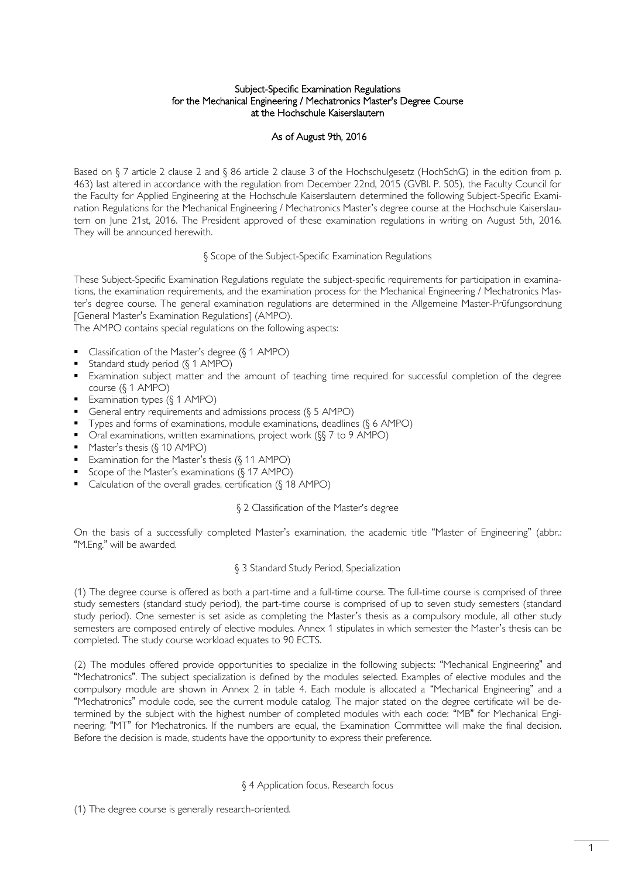#### Subject-Specific Examination Regulations for the Mechanical Engineering / Mechatronics Master's Degree Course at the Hochschule Kaiserslautern

# As of August 9th, 2016

Based on § 7 article 2 clause 2 and § 86 article 2 clause 3 of the Hochschulgesetz (HochSchG) in the edition from p. 463) last altered in accordance with the regulation from December 22nd, 2015 (GVBl. P. 505), the Faculty Council for the Faculty for Applied Engineering at the Hochschule Kaiserslautern determined the following Subject-Specific Examination Regulations for the Mechanical Engineering / Mechatronics Master's degree course at the Hochschule Kaiserslautern on June 21st, 2016. The President approved of these examination regulations in writing on August 5th, 2016. They will be announced herewith.

#### § Scope of the Subject-Specific Examination Regulations

These Subject-Specific Examination Regulations regulate the subject-specific requirements for participation in examinations, the examination requirements, and the examination process for the Mechanical Engineering / Mechatronics Master's degree course. The general examination regulations are determined in the Allgemeine Master-Prüfungsordnung [General Master's Examination Regulations] (AMPO).

The AMPO contains special regulations on the following aspects:

- Classification of the Master's degree (§ 1 AMPO)
- Standard study period (§ 1 AMPO)
- Examination subject matter and the amount of teaching time required for successful completion of the degree course (§ 1 AMPO)
- Examination types  $(\S 1$  AMPO)
- General entry requirements and admissions process  $(6 5 AMPO)$
- Types and forms of examinations, module examinations, deadlines  $(\S 6$  AMPO)
- Oral examinations, written examinations, project work (§§ 7 to 9 AMPO)
- $M$  Master's thesis ( $\S$  10 AMPO)
- Examination for the Master's thesis  $(§ 11$  AMPO)
- Scope of the Master's examinations (§ 17 AMPO)
- Calculation of the overall grades, certification (§ 18 AMPO)

#### § 2 Classification of the Master's degree

On the basis of a successfully completed Master's examination, the academic title "Master of Engineering" (abbr.: "M.Eng." will be awarded.

#### § 3 Standard Study Period, Specialization

(1) The degree course is offered as both a part-time and a full-time course. The full-time course is comprised of three study semesters (standard study period), the part-time course is comprised of up to seven study semesters (standard study period). One semester is set aside as completing the Master's thesis as a compulsory module, all other study semesters are composed entirely of elective modules. Annex 1 stipulates in which semester the Master's thesis can be completed. The study course workload equates to 90 ECTS.

(2) The modules offered provide opportunities to specialize in the following subjects: "Mechanical Engineering" and "Mechatronics". The subject specialization is defined by the modules selected. Examples of elective modules and the compulsory module are shown in Annex 2 in table 4. Each module is allocated a "Mechanical Engineering" and a "Mechatronics" module code, see the current module catalog. The major stated on the degree certificate will be determined by the subject with the highest number of completed modules with each code: "MB" for Mechanical Engineering; "MT" for Mechatronics. If the numbers are equal, the Examination Committee will make the final decision. Before the decision is made, students have the opportunity to express their preference.

#### § 4 Application focus, Research focus

<sup>(1)</sup> The degree course is generally research-oriented.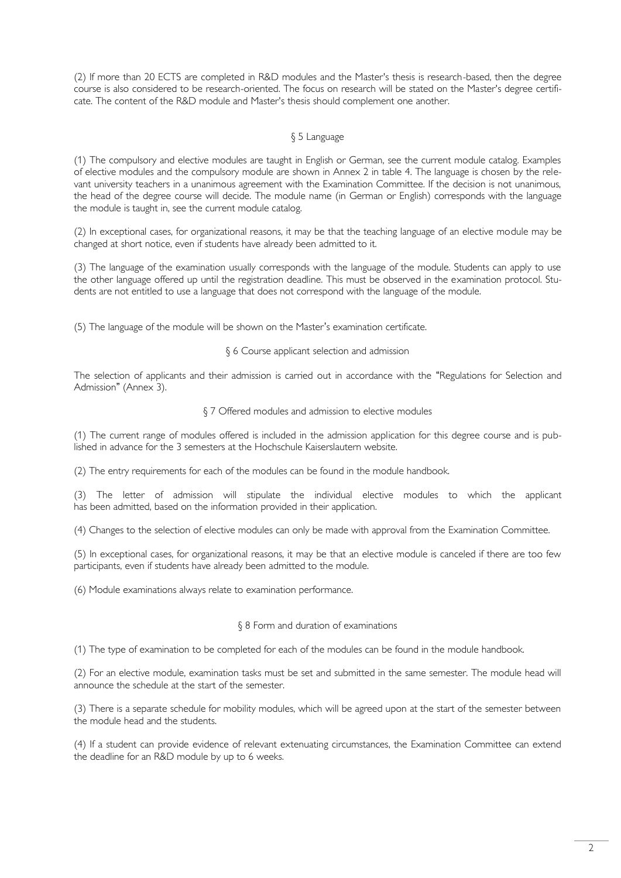(2) If more than 20 ECTS are completed in R&D modules and the Master's thesis is research-based, then the degree course is also considered to be research-oriented. The focus on research will be stated on the Master's degree certificate. The content of the R&D module and Master's thesis should complement one another.

## § 5 Language

(1) The compulsory and elective modules are taught in English or German, see the current module catalog. Examples of elective modules and the compulsory module are shown in Annex 2 in table 4. The language is chosen by the relevant university teachers in a unanimous agreement with the Examination Committee. If the decision is not unanimous, the head of the degree course will decide. The module name (in German or English) corresponds with the language the module is taught in, see the current module catalog.

(2) In exceptional cases, for organizational reasons, it may be that the teaching language of an elective module may be changed at short notice, even if students have already been admitted to it.

(3) The language of the examination usually corresponds with the language of the module. Students can apply to use the other language offered up until the registration deadline. This must be observed in the examination protocol. Students are not entitled to use a language that does not correspond with the language of the module.

(5) The language of the module will be shown on the Master's examination certificate.

#### § 6 Course applicant selection and admission

The selection of applicants and their admission is carried out in accordance with the "Regulations for Selection and Admission" (Annex 3).

#### § 7 Offered modules and admission to elective modules

(1) The current range of modules offered is included in the admission application for this degree course and is published in advance for the 3 semesters at the Hochschule Kaiserslautern website.

(2) The entry requirements for each of the modules can be found in the module handbook.

(3) The letter of admission will stipulate the individual elective modules to which the applicant has been admitted, based on the information provided in their application.

(4) Changes to the selection of elective modules can only be made with approval from the Examination Committee.

(5) In exceptional cases, for organizational reasons, it may be that an elective module is canceled if there are too few participants, even if students have already been admitted to the module.

(6) Module examinations always relate to examination performance.

#### § 8 Form and duration of examinations

(1) The type of examination to be completed for each of the modules can be found in the module handbook.

(2) For an elective module, examination tasks must be set and submitted in the same semester. The module head will announce the schedule at the start of the semester.

(3) There is a separate schedule for mobility modules, which will be agreed upon at the start of the semester between the module head and the students.

(4) If a student can provide evidence of relevant extenuating circumstances, the Examination Committee can extend the deadline for an R&D module by up to 6 weeks.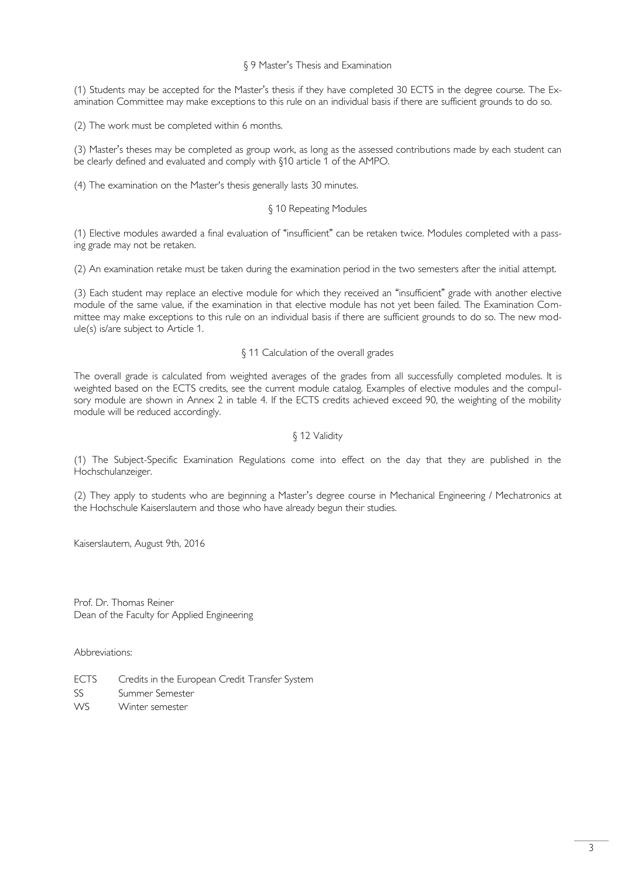### § 9 Master's Thesis and Examination

(1) Students may be accepted for the Master's thesis if they have completed 30 ECTS in the degree course. The Examination Committee may make exceptions to this rule on an individual basis if there are sufficient grounds to do so.

(2) The work must be completed within 6 months.

(3) Master's theses may be completed as group work, as long as the assessed contributions made by each student can be clearly defined and evaluated and comply with §10 article 1 of the AMPO.

(4) The examination on the Master's thesis generally lasts 30 minutes.

#### § 10 Repeating Modules

(1) Elective modules awarded a final evaluation of "insufficient" can be retaken twice. Modules completed with a passing grade may not be retaken.

(2) An examination retake must be taken during the examination period in the two semesters after the initial attempt.

(3) Each student may replace an elective module for which they received an "insufficient" grade with another elective module of the same value, if the examination in that elective module has not yet been failed. The Examination Committee may make exceptions to this rule on an individual basis if there are sufficient grounds to do so. The new module(s) is/are subject to Article 1.

#### § 11 Calculation of the overall grades

The overall grade is calculated from weighted averages of the grades from all successfully completed modules. It is weighted based on the ECTS credits, see the current module catalog. Examples of elective modules and the compulsory module are shown in Annex 2 in table 4. If the ECTS credits achieved exceed 90, the weighting of the mobility module will be reduced accordingly.

## § 12 Validity

(1) The Subject-Specific Examination Regulations come into effect on the day that they are published in the Hochschulanzeiger.

(2) They apply to students who are beginning a Master's degree course in Mechanical Engineering / Mechatronics at the Hochschule Kaiserslautern and those who have already begun their studies.

Kaiserslautern, August 9th, 2016

Prof. Dr. Thomas Reiner Dean of the Faculty for Applied Engineering

Abbreviations:

- ECTS Credits in the European Credit Transfer System
- SS Summer Semester
- WS Winter semester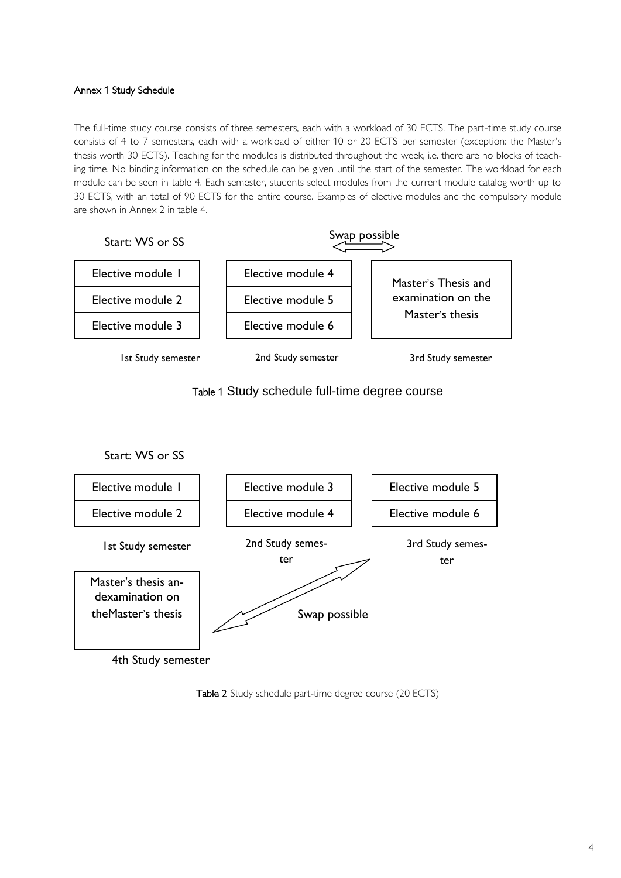# Annex 1 Study Schedule

The full-time study course consists of three semesters, each with a workload of 30 ECTS. The part-time study course consists of 4 to 7 semesters, each with a workload of either 10 or 20 ECTS per semester (exception: the Master's thesis worth 30 ECTS). Teaching for the modules is distributed throughout the week, i.e. there are no blocks of teaching time. No binding information on the schedule can be given until the start of the semester. The workload for each module can be seen in table 4. Each semester, students select modules from the current module catalog worth up to 30 ECTS, with an total of 90 ECTS for the entire course. Examples of elective modules and the compulsory module are shown in Annex 2 in table 4.







4th Study semester

Table 2 Study schedule part-time degree course (20 ECTS)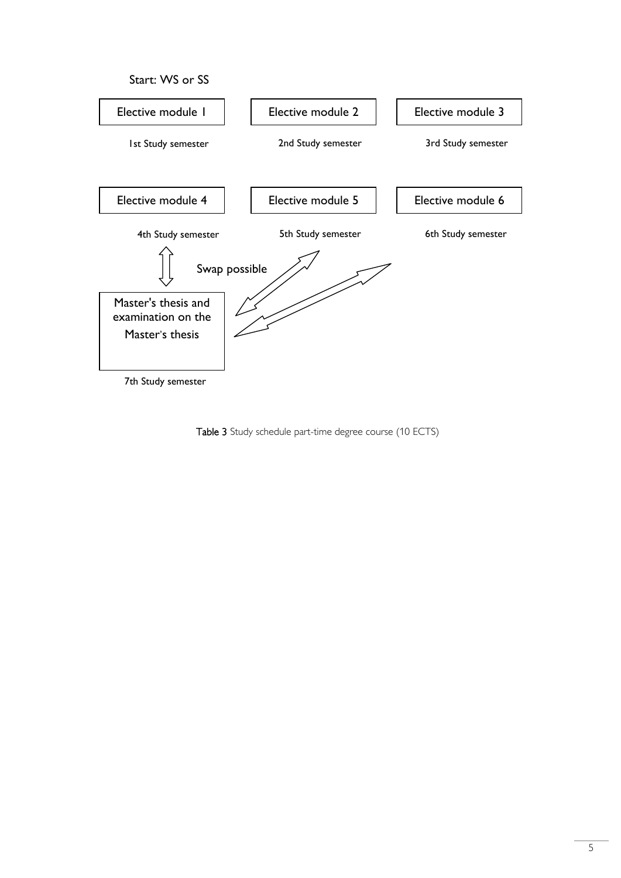

Table 3 Study schedule part-time degree course (10 ECTS)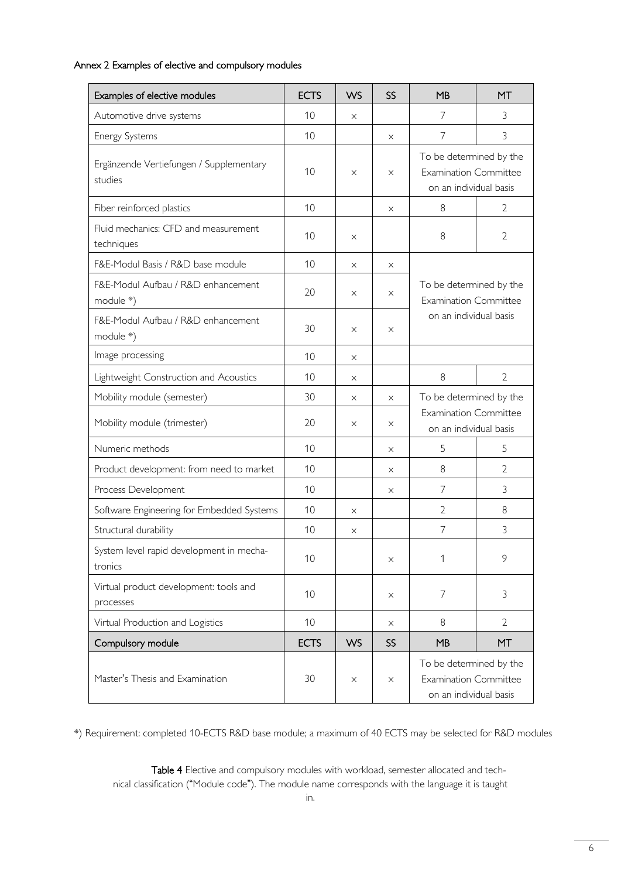# Annex 2 Examples of elective and compulsory modules

| Examples of elective modules                        | <b>ECTS</b> | <b>WS</b> | SS        | MB                                                                                | MT             |
|-----------------------------------------------------|-------------|-----------|-----------|-----------------------------------------------------------------------------------|----------------|
| Automotive drive systems                            | 10          | $\times$  |           | 7                                                                                 | 3              |
| Energy Systems                                      | 10          |           | X         | $\overline{7}$                                                                    | 3              |
| Ergänzende Vertiefungen / Supplementary<br>studies  | 10          | $\times$  | X         | To be determined by the<br><b>Examination Committee</b><br>on an individual basis |                |
| Fiber reinforced plastics                           | 10          |           | X         | 8                                                                                 | 2              |
| Fluid mechanics: CFD and measurement<br>techniques  | 10          | $\times$  |           | 8                                                                                 | $\overline{2}$ |
| F&E-Modul Basis / R&D base module                   | 10          | $\times$  | X         |                                                                                   |                |
| F&E-Modul Aufbau / R&D enhancement<br>module *)     | 20          | $\times$  | $\times$  | To be determined by the<br><b>Examination Committee</b><br>on an individual basis |                |
| F&E-Modul Aufbau / R&D enhancement<br>module *)     | 30          | $\times$  | $\times$  |                                                                                   |                |
| Image processing                                    | 10          | $\times$  |           |                                                                                   |                |
| Lightweight Construction and Acoustics              | 10          | $\times$  |           | 8                                                                                 | $\overline{2}$ |
| Mobility module (semester)                          | 30          | X         | $\times$  | To be determined by the<br><b>Examination Committee</b><br>on an individual basis |                |
| Mobility module (trimester)                         | 20          | $\times$  | $\times$  |                                                                                   |                |
| Numeric methods                                     | 10          |           | X         | 5                                                                                 | 5              |
| Product development: from need to market            | 10          |           | X         | 8                                                                                 | $\overline{2}$ |
| Process Development                                 | 10          |           | X         | 7                                                                                 | 3              |
| Software Engineering for Embedded Systems           | 10          | X         |           | $\overline{2}$                                                                    | $8\,$          |
| Structural durability                               | 10          | X         |           | $\overline{7}$                                                                    | 3              |
| System level rapid development in mecha-<br>tronics | 10          |           | X         | 1                                                                                 | 9              |
| Virtual product development: tools and<br>processes | 10          |           | X         | $\overline{7}$                                                                    | 3              |
| Virtual Production and Logistics                    | 10          |           | X         | 8                                                                                 | 2              |
| Compulsory module                                   | <b>ECTS</b> | <b>WS</b> | <b>SS</b> | MB                                                                                | <b>MT</b>      |
| Master's Thesis and Examination                     | 30          | $\times$  | X         | To be determined by the<br><b>Examination Committee</b><br>on an individual basis |                |

\*) Requirement: completed 10-ECTS R&D base module; a maximum of 40 ECTS may be selected for R&D modules

Table 4 Elective and compulsory modules with workload, semester allocated and technical classification ("Module code"). The module name corresponds with the language it is taught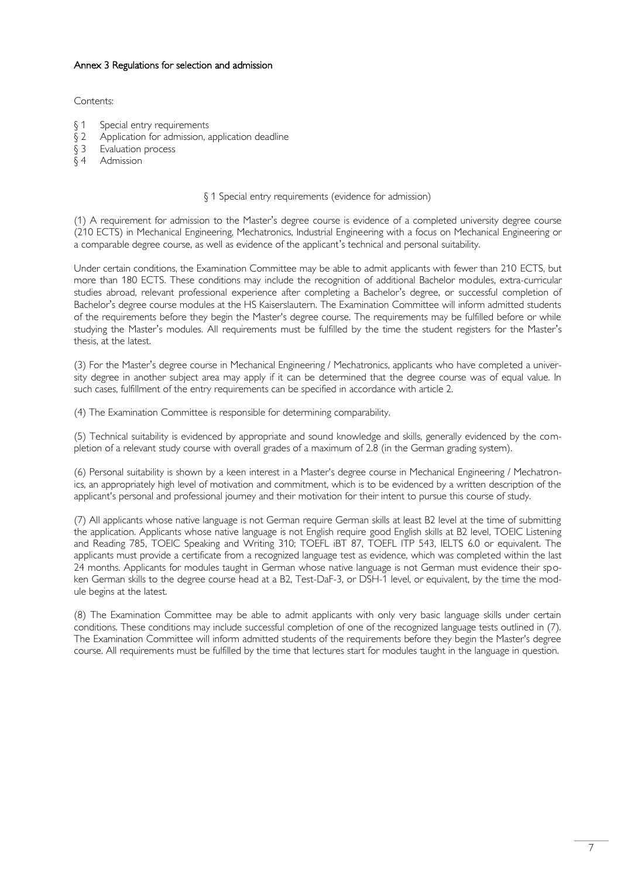# Annex 3 Regulations for selection and admission

## Contents:

- § 1 Special entry requirements
- § 2 Application for admission, application deadline
- § 3 Evaluation process
- § 4 Admission

### § 1 Special entry requirements (evidence for admission)

(1) A requirement for admission to the Master's degree course is evidence of a completed university degree course (210 ECTS) in Mechanical Engineering, Mechatronics, Industrial Engineering with a focus on Mechanical Engineering or a comparable degree course, as well as evidence of the applicant's technical and personal suitability.

Under certain conditions, the Examination Committee may be able to admit applicants with fewer than 210 ECTS, but more than 180 ECTS. These conditions may include the recognition of additional Bachelor modules, extra-curricular studies abroad, relevant professional experience after completing a Bachelor's degree, or successful completion of Bachelor's degree course modules at the HS Kaiserslautern. The Examination Committee will inform admitted students of the requirements before they begin the Master's degree course. The requirements may be fulfilled before or while studying the Master's modules. All requirements must be fulfilled by the time the student registers for the Master's thesis, at the latest.

(3) For the Master's degree course in Mechanical Engineering / Mechatronics, applicants who have completed a university degree in another subject area may apply if it can be determined that the degree course was of equal value. In such cases, fulfillment of the entry requirements can be specified in accordance with article 2.

(4) The Examination Committee is responsible for determining comparability.

(5) Technical suitability is evidenced by appropriate and sound knowledge and skills, generally evidenced by the completion of a relevant study course with overall grades of a maximum of 2.8 (in the German grading system).

(6) Personal suitability is shown by a keen interest in a Master's degree course in Mechanical Engineering / Mechatronics, an appropriately high level of motivation and commitment, which is to be evidenced by a written description of the applicant's personal and professional journey and their motivation for their intent to pursue this course of study.

(7) All applicants whose native language is not German require German skills at least B2 level at the time of submitting the application. Applicants whose native language is not English require good English skills at B2 level, TOEIC Listening and Reading 785, TOEIC Speaking and Writing 310; TOEFL iBT 87, TOEFL ITP 543, IELTS 6.0 or equivalent. The applicants must provide a certificate from a recognized language test as evidence, which was completed within the last 24 months. Applicants for modules taught in German whose native language is not German must evidence their spoken German skills to the degree course head at a B2, Test-DaF-3, or DSH-1 level, or equivalent, by the time the module begins at the latest.

(8) The Examination Committee may be able to admit applicants with only very basic language skills under certain conditions. These conditions may include successful completion of one of the recognized language tests outlined in (7). The Examination Committee will inform admitted students of the requirements before they begin the Master's degree course. All requirements must be fulfilled by the time that lectures start for modules taught in the language in question.